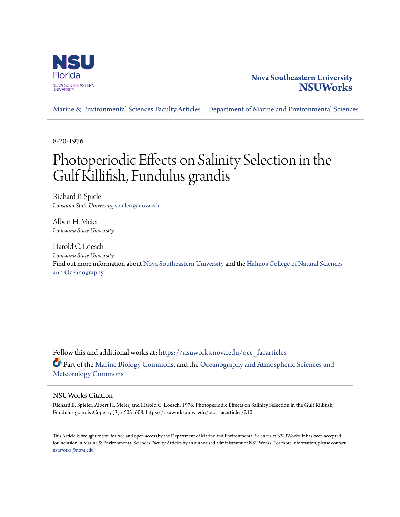

## **Nova Southeastern University [NSUWorks](https://nsuworks.nova.edu?utm_source=nsuworks.nova.edu%2Focc_facarticles%2F210&utm_medium=PDF&utm_campaign=PDFCoverPages)**

[Marine & Environmental Sciences Faculty Articles](https://nsuworks.nova.edu/occ_facarticles?utm_source=nsuworks.nova.edu%2Focc_facarticles%2F210&utm_medium=PDF&utm_campaign=PDFCoverPages) [Department of Marine and Environmental Sciences](https://nsuworks.nova.edu/cnso_mes?utm_source=nsuworks.nova.edu%2Focc_facarticles%2F210&utm_medium=PDF&utm_campaign=PDFCoverPages)

8-20-1976

# Photoperiodic Effects on Salinity Selection in the Gulf Killifish, Fundulus grandis

Richard E. Spieler *Lousiana State University*, spielerr@nova.edu

Albert H. Meier *Louisiana State University*

Harold C. Loesch *Louisiana State University* Find out more information about [Nova Southeastern University](http://www.nova.edu/) and the [Halmos College of Natural Sciences](https://cnso.nova.edu) [and Oceanography.](https://cnso.nova.edu)

Follow this and additional works at: [https://nsuworks.nova.edu/occ\\_facarticles](https://nsuworks.nova.edu/occ_facarticles?utm_source=nsuworks.nova.edu%2Focc_facarticles%2F210&utm_medium=PDF&utm_campaign=PDFCoverPages) Part of the [Marine Biology Commons,](http://network.bepress.com/hgg/discipline/1126?utm_source=nsuworks.nova.edu%2Focc_facarticles%2F210&utm_medium=PDF&utm_campaign=PDFCoverPages) and the [Oceanography and Atmospheric Sciences and](http://network.bepress.com/hgg/discipline/186?utm_source=nsuworks.nova.edu%2Focc_facarticles%2F210&utm_medium=PDF&utm_campaign=PDFCoverPages) [Meteorology Commons](http://network.bepress.com/hgg/discipline/186?utm_source=nsuworks.nova.edu%2Focc_facarticles%2F210&utm_medium=PDF&utm_campaign=PDFCoverPages)

### NSUWorks Citation

Richard E. Spieler, Albert H. Meier, and Harold C. Loesch. 1976. Photoperiodic Effects on Salinity Selection in the Gulf Killifish, Fundulus grandis .Copeia , (3) : 605 -608. https://nsuworks.nova.edu/occ\_facarticles/210.

This Article is brought to you for free and open access by the Department of Marine and Environmental Sciences at NSUWorks. It has been accepted for inclusion in Marine & Environmental Sciences Faculty Articles by an authorized administrator of NSUWorks. For more information, please contact [nsuworks@nova.edu.](mailto:nsuworks@nova.edu)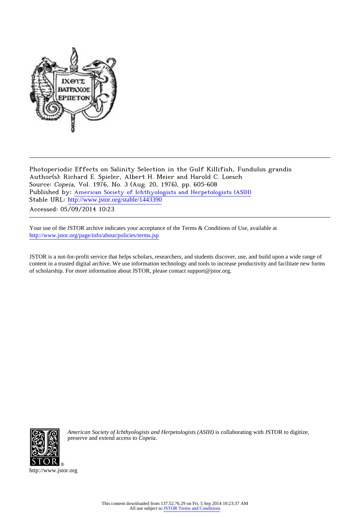

Photoperiodic Effects on Salinity Selection in the Gulf Killifish, Fundulus grandis Author(s): Richard E. Spieler, Albert H. Meier and Harold C. Loesch Source: Copeia, Vol. 1976, No. 3 (Aug. 20, 1976), pp. 605-608 Published by: [American Society of Ichthyologists and Herpetologists \(ASIH\)](http://www.jstor.org/action/showPublisher?publisherCode=asih) Stable URL: [http://www.jstor.org/stable/1443390](http://www.jstor.org/stable/1443390?origin=JSTOR-pdf) Accessed: 05/09/2014 10:23

Your use of the JSTOR archive indicates your acceptance of the Terms & Conditions of Use, available at

<http://www.jstor.org/page/info/about/policies/terms.jsp>

JSTOR is a not-for-profit service that helps scholars, researchers, and students discover, use, and build upon a wide range of content in a trusted digital archive. We use information technology and tools to increase productivity and facilitate new forms of scholarship. For more information about JSTOR, please contact support@jstor.org.



*American Society of Ichthyologists and Herpetologists (ASIH)* is collaborating with JSTOR to digitize, preserve and extend access to *Copeia.*

http://www.jstor.org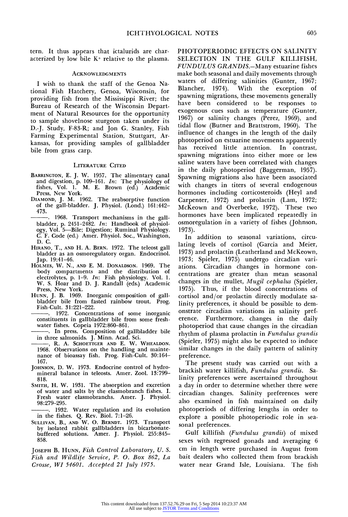**tern. It thus appears that ictalurids are characterized by low bile K+ relative to the plasma.** 

#### **ACKNOWLEDGMENTS**

**I wish to thank the staff of the Genoa National Fish Hatchery, Genoa, Wisconsin, for providing fish from the Mississippi River; the Bureau of Research of the Wisconsin Department of Natural Resources for the opportunity to sample shovelnose sturgeon taken under its D.-J. Study, F-83-R; and Jon G. Stanley, Fish Farming Experimental Station, Stuttgart, Arkansas, for providing samples of gallbladder bile from grass carp.** 

#### **LITERATURE CITED**

- **BARRINGTON, E. J. W. 1957. The alimentary canal and digestion, p. 109–161.** In: The physiology of  $\frac{1}{2}$ **fishes, Vol. 1. M. E. Brown (ed.) Academic Press, New York.**
- **DIAMOND, J. M. 1962. The reabsorptive function of the gall-bladder. J. Physiol. (Lond.) 161:442- 473.**
- **. 1968. Transport mechanisms in the gallbladder, p. 2451-2482. In: Handbook of physiology, Vol. 5-Bile; Digestion; Ruminal Physiology. C. F. Code (ed.) Amer. Physiol. Soc., Washington, D. C.**
- **HIRANO, T., AND H. A. BERN. 1972. The teleost gall bladder as an osmoregulatory organ. Endocrinol. Jap. 19:41-46.**
- **HOLMES, W. N., AND E. M. DONALDSON. 1969. The body compartments and the distribution of electrolytes, p. 1-9. In: Fish physiology. Vol. 1. W. S. Hoar and D. J. Randall (eds.) Academic Press, New York.**
- **HUNN, J. B. 1969. Inorganic composition of gallbladder bile from fasted rainbow trout. Prog. Fish-Cult. 31:221-222.**
- constituents in gallbladder bile from some fresh**water fishes. Copeia 1972:860-861.**
- **. In press. Composition of gallbladder bile**  in three salmonids. J. Minn. Acad. Sci.<br>——, R. A. Sсноеттсе**в а**мр Е. W. Whealdon.
- **1968. Observations on the handling and maintenance of bioassay fish. Prog. Fish-Cult. 30:164- 167.**
- **JOHNSON, D. W. 1973. Endocrine control of hydro- mineral balance in teleosts. Amer. Zool. 13:799- 818.**
- **SMITH, H. W. 1931. The absorption and excretion of water and salts by the elasmobranch fishes. I. Fresh water elasmobranchs. Amer. J. Physiol. 98:279-295.**

**. 1932. Water regulation and its evolution in the fishes. Q. Rev. Biol. 7:1-26.** 

**SULLIVAN, B., AND W. O. BERNDT. 1973. Transport by isolated rabbit gallbladders in bicarbonatebuffered solutions. Amer. J. Physiol. 255:845- 858.** 

**JOSEPH B. HUNN, Fish Control Laboratory, U. S. Fish and Wildlife Service, P. 0. Box 862, La Crosse, WI 54601. Accepted 21 July 1975.** 

**PHOTOPERIODIC EFFECTS ON SALINITY SELECTION IN THE GULF KILLIFISH, FUNDULUS GRANDIS.-Many estuarine fishes make both seasonal and daily movements through waters of differing salinities (Gunter, 1967;**  With the exception of **spawning migrations, these movements generally have been considered to be responses to exogenous cues such as temperature (Gunter, 1967) or salinity changes (Perez, 1969), and tidal flow (Butner and Brattstrom, 1960). The influence of changes in the length of the daily photoperiod on estuarine movements apparently has received little attention. In contrast, spawning migrations into either more or less saline waters have been correlated with changes in the daily photoperiod (Baggerman, 1957). Spawning migrations also have been associated with changes in titers of several endogenous hormones including corticosteroids (Heyl and Carpenter, 1972) and prolactin (Lam, 1972; McKeown and Overbeeke, 1972). These two hormones have been implicated repeatedly in osmoregulation in a variety of fishes (Johnson, 1973).** 

**In addition to seasonal variations, circulating levels of cortisol (Garcia and Meier, 1973) and prolactin (Leatherland and McKeown, 1973; Spieler, 1975) undergo circadian variations. Circadian changes in hormone concentrations are greater than mean seasonal changes in the mullet, Mugil cephalus (Spieler, 1975). Thus, if the blood concentrations of cortisol and/or prolactin directly modulate salinity preferences, it should be possible to demonstrate circadian variations in salinity pref-**Furthermore, changes in the daily **photoperiod that cause changes in the circadian rhythm of plasma prolactin in Fundulus grandis (Spieler, 1975) might also be expected to induce similar changes in the daily pattern of salinity preference.** 

**The present study was carried out with a brackish water killifish, Fundulus grandis. Salinity preferences were ascertained throughout a day in order to determine whether there were circadian changes. Salinity preferences were also examined in fish maintained on daily photoperiods of differing lengths in order to explore a possible photoperiodic role in seasonal preferences.** 

**Gulf killifish (Fundulus grandis) of mixed sexes with regressed gonads and averaging 6 cm in length were purchased in August from bait dealers who collected them from brackish water near Grand Isle, Louisiana. The fish**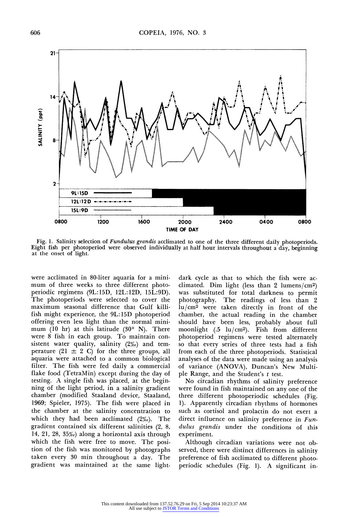

**Fig. 1. Salinity selection of Fundulus grandis acclimated to one of the three different daily photoperiods. Eight fish per photoperiod were observed individually at half hour intervals throughout a day, beginning at the onset of light.** 

**were acclimated in 80-liter aquaria for a minimum of three weeks to three different photoperiodic regimens (9L:15D, 12L:12D, 15L:9D). The photoperiods were selected to cover the maximum seasonal difference that Gulf killifish might experience, the 9L:15D photoperiod offering even less light than the normal minimum (10 hr) at this latitude (30? N). There were 8 fish in each group. To maintain consistent water quality, salinity (2%o) and tem**perature  $(21 \pm 2 \text{ C})$  for the three groups, all **aquaria were attached to a common biological filter. The fish were fed daily a commercial flake food (TetraMin) except during the day of testing. A single fish was placed, at the beginning of the light period, in a salinity gradient chamber (modified Staaland device, Staaland, 1969; Spieler, 1975). The fish were placed in the chamber at the salinity concentration to which they had been acclimated (2%o). The gradient contained six different salinities (2, 8, 14, 21, 28, 35%0) along a horizontal axis through which the fish were free to move. The position of the fish was monitored by photographs taken every 30 min throughout a day. The gradient was maintained at the same light-** **dark cycle as that to which the fish were acclimated. Dim light (less than 2 lumens/cm2) was substituted for total darkness to permit photography. The readings of less than 2 lu/cm2 were taken directly in front of the chamber, the actual reading in the chamber should have been less, probably about full moonlight (.5 lu/cm2). Fish from different photoperiod regimens were tested alternately so that every series of three tests had a fish from each of the three photoperiods. Statistical analyses of the data were made using an analysis of variance (ANOVA), Duncan's New Multiple Range, and the Student's t test.** 

**No circadian rhythms of salinity preference were found in fish maintained on any one of the three different photoperiodic schedules (Fig. 1). Apparently circadian rhythms of hormones such as cortisol and prolactin do not exert a direct influence on salinity preference in Fundulus grandis under the conditions of this experiment.** 

**Although circadian variations were not observed, there were distinct differences in salinity preference of fish acclimated to different photoperiodic schedules (Fig. 1). A significant in-**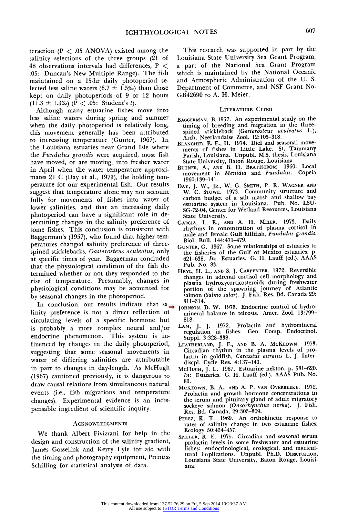**teraction (P < .05 ANOVA) existed among the salinity selections of the three groups (21 of 48 observations intervals had differences, P < .05: Duncan's New Multiple Range). The fish maintained on a 15-hr daily photoperiod se**lected less saline waters  $(6.7 \pm 1.5\%)$  than those **kept on daily photoperiods of 9 or 12 hours**   $(11.3 \pm 1.3\%)$  (P < .05: Student's t).

**Although many estuarine fishes move into less saline waters during spring and summer when the daily photoperiod is relatively long, this movement generally has been attributed to increasing temperature (Gunter, 1967). In the Louisiana estuaries near Grand Isle where the Fundulus grandis were acquired, most fish have moved, or are moving, into fresher water in April when the water temperature approximates 21 C (Day et al., 1973), the holding temperature for our experimental fish. Our results suggest that temperature alone may not account fully for movements of fishes into water of lower salinities, and that an increasing daily photoperiod can have a significant role in determining changes in the salinity preference of some fishes. This conclusion is consistent with Baggerman's (1957), who found that higher temperatures changed salinity preference of threespined sticklebacks, Gasterosteus aculeatus, only at specific times of year. Baggerman concluded that the physiological condition of the fish determined whether or not they responded to the rise of temperature. Presumably, changes in physiological conditions may be accounted for by seasonal changes in the photoperiod.** 

**In conclusion, our results indicate that sa → 311-314.**<br> **311-314.** D. W. 1973. Endocrine control of hydro-<br>
ity preference is not a direct reflection of Johnson, D. W. 1973. Endocrine Amer. Zeel 13:700. **linity preference is not a direct reflection of circulating levels of a specific hormone but is probably a more complex neural and/or endocrine phenomenon. This system is influenced by changes in the daily photoperiod, suggesting that some seasonal movements in water of differing salinities are attributable in part to changes in day-length. As McHugh (1967) cautioned previously, it is dangerous to draw causal relations from simultaneous natural events (i.e., fish migrations and temperature changes). Experimental evidence is an indispensable ingredient of scientific inquiry.** 

#### **ACKNOWLEDGMENTS**

**We thank Albert Fivizzani for help in the design and construction of the salinity gradient, James Gosselink and Kerry Lyle for aid with the timing and photography equipment, Prentiss Schilling for statistical analysis of data.** 

**This research was supported in part by the Louisiana State University Sea Grant Program, a part of the National Sea Grant Program which is maintained by the National Oceanic and Atmospheric Administration of the U. S. Department of Commerce, and NSF Grant No. GB42690 to A. H. Meier.** 

#### **LITERATURE CITED**

- **BAGGERMAN, B. 1957. An experimental study on the timing of breeding and migration in the threespined stickleback (Gasterosteus aculeatus L.), Arch. Neerlandaise Zool. 12:105-318.**
- **BLANCHER, E. E., II. 1974. Diel and seasonal movements of fishes in Little Lake. St. Tammany Parish, Louisiana. Unpubl. M.S. thesis, Louisiana State University, Baton Rouge, Louisiana.**
- **BUTNER, A., AND B. H. BRATTSTROM. 1960. Local movement in Menidia and Fundulus. Copeia 1960:139-141.**
- **DAY, J. W., JR., W. G. SMITH, P. R. WAGNER AND W. C. STOWE. 1973. Community structure and carbon budget of a salt marsh and shallow bay estuarine system in Louisiana. Pub. No. LSU-SG-72-04, Center for Wetland Resources, Louisiana State University.**
- **GARCIA, L. E., AND A. H. MEIER. 1973. Daily rhythms in concentration of plasma cortisol in male and female Gulf killifish, Fundulus grandis. Biol. Bull. 144:471-479.**
- **GUNTER, G. 1967. Some relationships of estuaries to the fisheries of the Gulf of Mexico estuaries, p. 621-638. In: Estuaries. G. H. Lauff (ed.), AAAS Pub. No. 83.**
- **HEYL, H. L., AND S. J. CARPENTER. 1972. Reversible changes in adrenal cortisol cell morphology and plasma hydroxycorticosteroids during freshwater portion of the spawning journey of Atlantic salmon (Salmo salar). J. Fish. Res. Bd. Canada 29:**
- **mineral balance in teleosts. Amer. Zool. 13:799- 818.**
- **LAM, J. J. 1972. Prolactin and hydromineral regulation in fishes. Gen. Comp. Endocrinol. Suppl. 3:328-338.**
- **LEATHERLAND, J. F., AND B. A. MCKEOWN. 1973. Circadian rhythm in the plasma levels of prolactin in goldfish, Carassius auratus L. J. Interdiscpl. Cycle Res. 4:137-143.**
- **MCHUGH, J. L. 1967. Estuarine nekton, p. 581-620. In: Estuaries. G. H. Lauff (ed.), AAAS Pub. No. 83.**
- **MCKEOWN, B. A., AND A. P. VAN OVERBEEKE. 1972. Prolactin and growth hormone concentrations in the serum and pituitary gland of adult migratory sockeye salmon (Oncorhynchus nerka). J. Fish. Res. Bd. Canada, 29:303-309.**
- **PEREZ, K. T. 1969. An orthokinetic response to rates of salinity change in two estuarine fishes. Ecology 50:454-457.**
- **SPIELER, R. E. 1975. Circadian and seasonal serum prolactin levels in some freshwater and estuarine fishes: endocrinological, ecological, and maricultural implications. Unpubl. Ph.D. Dissertation, Louisiana State University, Baton Rouge, Louisiana.**